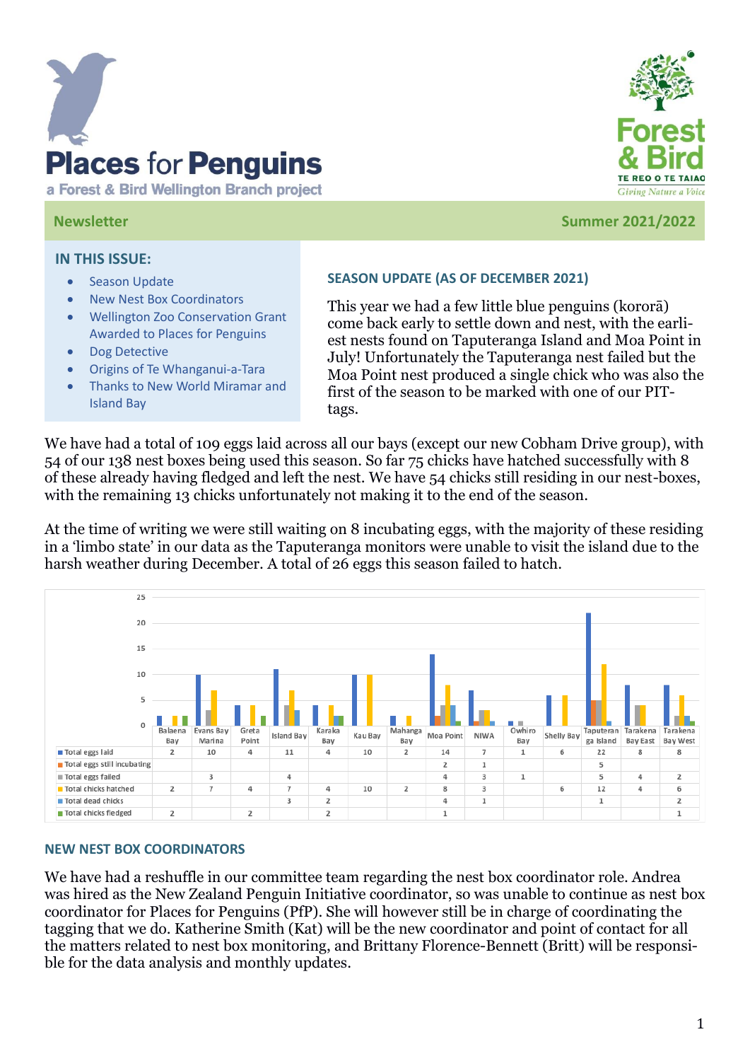

a Forest & Bird Wellington Branch project



#### **Newsletter Summer 2021/2022**

#### **IN THIS ISSUE:**

- Season Update
- New Nest Box Coordinators
- Wellington Zoo Conservation Grant Awarded to Places for Penguins
- Dog Detective
- Origins of Te Whanganui-a-Tara
- Thanks to New World Miramar and Island Bay

### **SEASON UPDATE (AS OF DECEMBER 2021)**

This year we had a few little blue penguins (kororā) come back early to settle down and nest, with the earliest nests found on Taputeranga Island and Moa Point in July! Unfortunately the Taputeranga nest failed but the Moa Point nest produced a single chick who was also the first of the season to be marked with one of our PITtags.

We have had a total of 109 eggs laid across all our bays (except our new Cobham Drive group), with 54 of our 138 nest boxes being used this season. So far 75 chicks have hatched successfully with 8 of these already having fledged and left the nest. We have 54 chicks still residing in our nest-boxes, with the remaining 13 chicks unfortunately not making it to the end of the season.

At the time of writing we were still waiting on 8 incubating eggs, with the majority of these residing in a 'limbo state' in our data as the Taputeranga monitors were unable to visit the island due to the harsh weather during December. A total of 26 eggs this season failed to hatch.



#### **NEW NEST BOX COORDINATORS**

We have had a reshuffle in our committee team regarding the nest box coordinator role. Andrea was hired as the New Zealand Penguin Initiative coordinator, so was unable to continue as nest box coordinator for Places for Penguins (PfP). She will however still be in charge of coordinating the tagging that we do. Katherine Smith (Kat) will be the new coordinator and point of contact for all the matters related to nest box monitoring, and Brittany Florence-Bennett (Britt) will be responsible for the data analysis and monthly updates.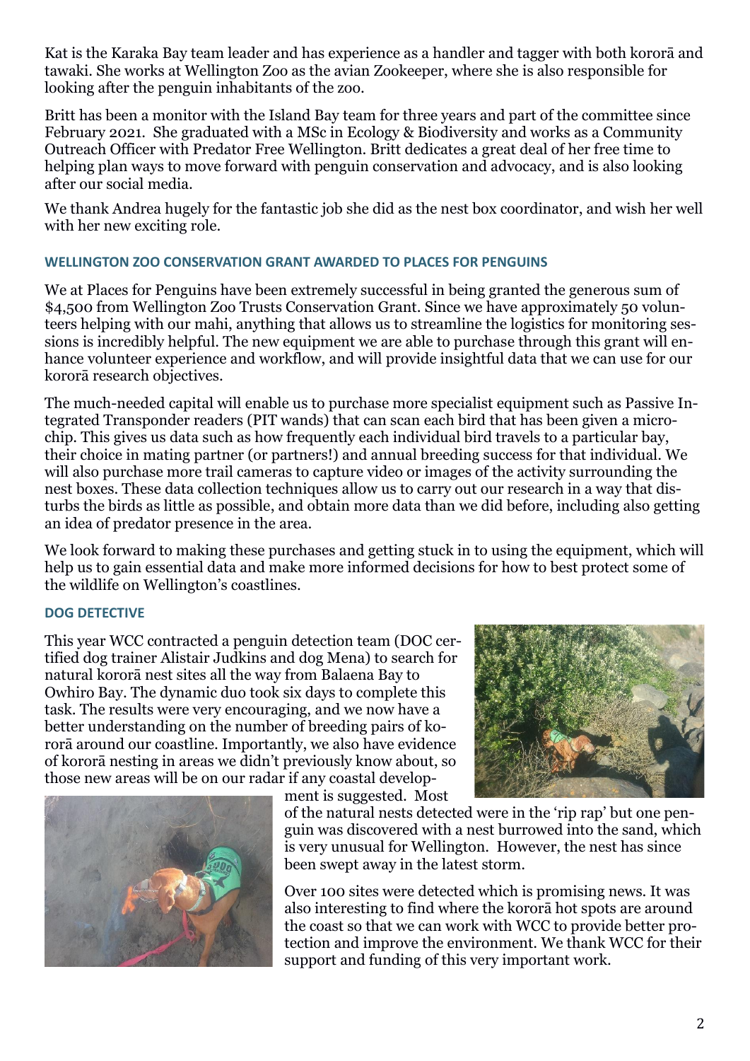Kat is the Karaka Bay team leader and has experience as a handler and tagger with both kororā and tawaki. She works at Wellington Zoo as the avian Zookeeper, where she is also responsible for looking after the penguin inhabitants of the zoo.

Britt has been a monitor with the Island Bay team for three years and part of the committee since February 2021. She graduated with a MSc in Ecology & Biodiversity and works as a Community Outreach Officer with Predator Free Wellington. Britt dedicates a great deal of her free time to helping plan ways to move forward with penguin conservation and advocacy, and is also looking after our social media.

We thank Andrea hugely for the fantastic job she did as the nest box coordinator, and wish her well with her new exciting role.

## **WELLINGTON ZOO CONSERVATION GRANT AWARDED TO PLACES FOR PENGUINS**

We at Places for Penguins have been extremely successful in being granted the generous sum of \$4,500 from Wellington Zoo Trusts Conservation Grant. Since we have approximately 50 volunteers helping with our mahi, anything that allows us to streamline the logistics for monitoring sessions is incredibly helpful. The new equipment we are able to purchase through this grant will enhance volunteer experience and workflow, and will provide insightful data that we can use for our kororā research objectives.

The much-needed capital will enable us to purchase more specialist equipment such as Passive Integrated Transponder readers (PIT wands) that can scan each bird that has been given a microchip. This gives us data such as how frequently each individual bird travels to a particular bay, their choice in mating partner (or partners!) and annual breeding success for that individual. We will also purchase more trail cameras to capture video or images of the activity surrounding the nest boxes. These data collection techniques allow us to carry out our research in a way that disturbs the birds as little as possible, and obtain more data than we did before, including also getting an idea of predator presence in the area.

We look forward to making these purchases and getting stuck in to using the equipment, which will help us to gain essential data and make more informed decisions for how to best protect some of the wildlife on Wellington's coastlines.

#### **DOG DETECTIVE**

This year WCC contracted a penguin detection team (DOC certified dog trainer Alistair Judkins and dog Mena) to search for natural kororā nest sites all the way from Balaena Bay to Owhiro Bay. The dynamic duo took six days to complete this task. The results were very encouraging, and we now have a better understanding on the number of breeding pairs of kororā around our coastline. Importantly, we also have evidence of kororā nesting in areas we didn't previously know about, so those new areas will be on our radar if any coastal develop-



ment is suggested. Most



of the natural nests detected were in the 'rip rap' but one penguin was discovered with a nest burrowed into the sand, which is very unusual for Wellington. However, the nest has since been swept away in the latest storm.

Over 100 sites were detected which is promising news. It was also interesting to find where the kororā hot spots are around the coast so that we can work with WCC to provide better protection and improve the environment. We thank WCC for their support and funding of this very important work.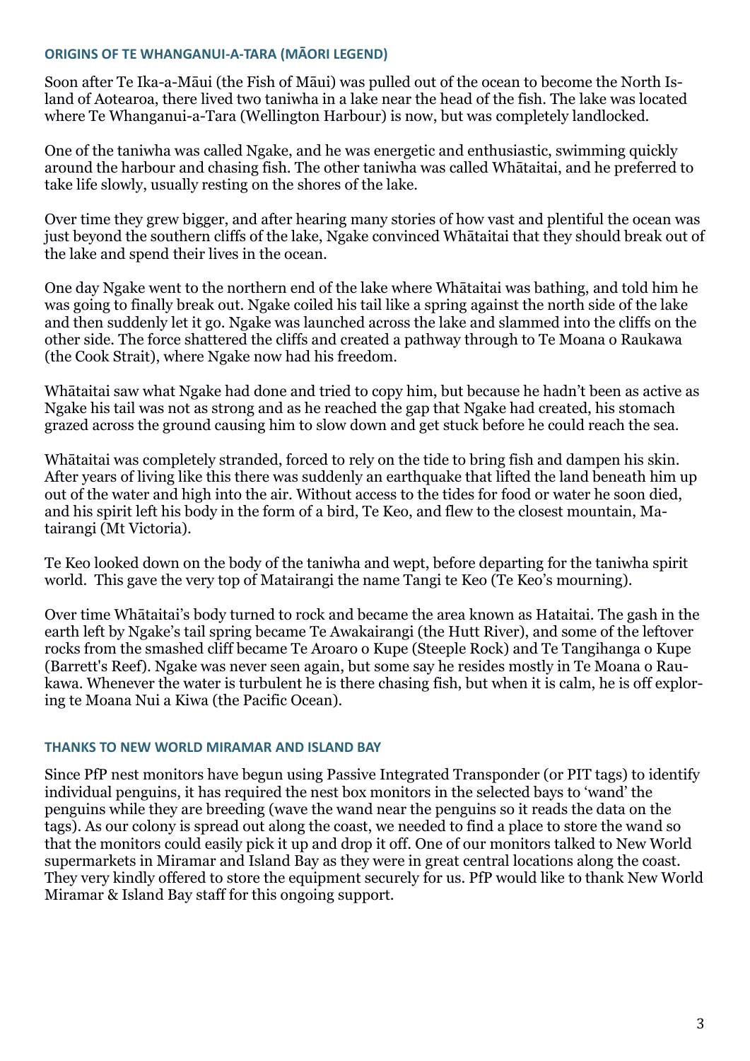#### **ORIGINS OF TE WHANGANUI-A-TARA (MĀORI LEGEND)**

Soon after Te Ika-a-Māui (the Fish of Māui) was pulled out of the ocean to become the North Island of Aotearoa, there lived two taniwha in a lake near the head of the fish. The lake was located where Te Whanganui-a-Tara (Wellington Harbour) is now, but was completely landlocked.

One of the taniwha was called Ngake, and he was energetic and enthusiastic, swimming quickly around the harbour and chasing fish. The other taniwha was called Whātaitai, and he preferred to take life slowly, usually resting on the shores of the lake.

Over time they grew bigger, and after hearing many stories of how vast and plentiful the ocean was just beyond the southern cliffs of the lake, Ngake convinced Whātaitai that they should break out of the lake and spend their lives in the ocean.

One day Ngake went to the northern end of the lake where Whātaitai was bathing, and told him he was going to finally break out. Ngake coiled his tail like a spring against the north side of the lake and then suddenly let it go. Ngake was launched across the lake and slammed into the cliffs on the other side. The force shattered the cliffs and created a pathway through to Te Moana o Raukawa (the Cook Strait), where Ngake now had his freedom.

Whātaitai saw what Ngake had done and tried to copy him, but because he hadn't been as active as Ngake his tail was not as strong and as he reached the gap that Ngake had created, his stomach grazed across the ground causing him to slow down and get stuck before he could reach the sea.

Whātaitai was completely stranded, forced to rely on the tide to bring fish and dampen his skin. After years of living like this there was suddenly an earthquake that lifted the land beneath him up out of the water and high into the air. Without access to the tides for food or water he soon died, and his spirit left his body in the form of a bird, Te Keo, and flew to the closest mountain, Matairangi (Mt Victoria).

Te Keo looked down on the body of the taniwha and wept, before departing for the taniwha spirit world. This gave the very top of Matairangi the name Tangi te Keo (Te Keo's mourning).

Over time Whātaitai's body turned to rock and became the area known as Hataitai. The gash in the earth left by Ngake's tail spring became Te Awakairangi (the Hutt River), and some of the leftover rocks from the smashed cliff became Te Aroaro o Kupe (Steeple Rock) and Te Tangihanga o Kupe (Barrett's Reef). Ngake was never seen again, but some say he resides mostly in Te Moana o Raukawa. Whenever the water is turbulent he is there chasing fish, but when it is calm, he is off exploring te Moana Nui a Kiwa (the Pacific Ocean).

## **THANKS TO NEW WORLD MIRAMAR AND ISLAND BAY**

Since PfP nest monitors have begun using Passive Integrated Transponder (or PIT tags) to identify individual penguins, it has required the nest box monitors in the selected bays to 'wand' the penguins while they are breeding (wave the wand near the penguins so it reads the data on the tags). As our colony is spread out along the coast, we needed to find a place to store the wand so that the monitors could easily pick it up and drop it off. One of our monitors talked to New World supermarkets in Miramar and Island Bay as they were in great central locations along the coast. They very kindly offered to store the equipment securely for us. PfP would like to thank New World Miramar & Island Bay staff for this ongoing support.